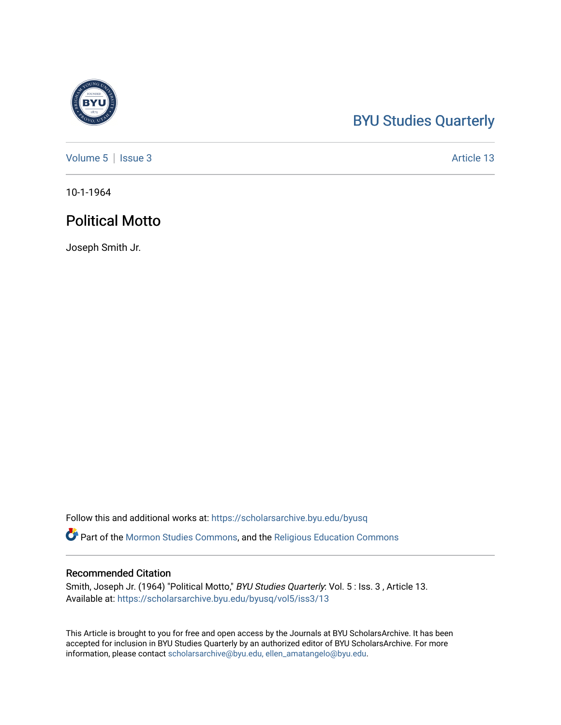## [BYU Studies Quarterly](https://scholarsarchive.byu.edu/byusq)

[Volume 5](https://scholarsarchive.byu.edu/byusq/vol5) | [Issue 3](https://scholarsarchive.byu.edu/byusq/vol5/iss3) Article 13

10-1-1964

## Political Motto

Joseph Smith Jr.

Follow this and additional works at: [https://scholarsarchive.byu.edu/byusq](https://scholarsarchive.byu.edu/byusq?utm_source=scholarsarchive.byu.edu%2Fbyusq%2Fvol5%2Fiss3%2F13&utm_medium=PDF&utm_campaign=PDFCoverPages) 

Part of the [Mormon Studies Commons](http://network.bepress.com/hgg/discipline/1360?utm_source=scholarsarchive.byu.edu%2Fbyusq%2Fvol5%2Fiss3%2F13&utm_medium=PDF&utm_campaign=PDFCoverPages), and the [Religious Education Commons](http://network.bepress.com/hgg/discipline/1414?utm_source=scholarsarchive.byu.edu%2Fbyusq%2Fvol5%2Fiss3%2F13&utm_medium=PDF&utm_campaign=PDFCoverPages) 

## Recommended Citation

Smith, Joseph Jr. (1964) "Political Motto," BYU Studies Quarterly: Vol. 5 : Iss. 3 , Article 13. Available at: [https://scholarsarchive.byu.edu/byusq/vol5/iss3/13](https://scholarsarchive.byu.edu/byusq/vol5/iss3/13?utm_source=scholarsarchive.byu.edu%2Fbyusq%2Fvol5%2Fiss3%2F13&utm_medium=PDF&utm_campaign=PDFCoverPages)

This Article is brought to you for free and open access by the Journals at BYU ScholarsArchive. It has been accepted for inclusion in BYU Studies Quarterly by an authorized editor of BYU ScholarsArchive. For more information, please contact [scholarsarchive@byu.edu, ellen\\_amatangelo@byu.edu.](mailto:scholarsarchive@byu.edu,%20ellen_amatangelo@byu.edu)